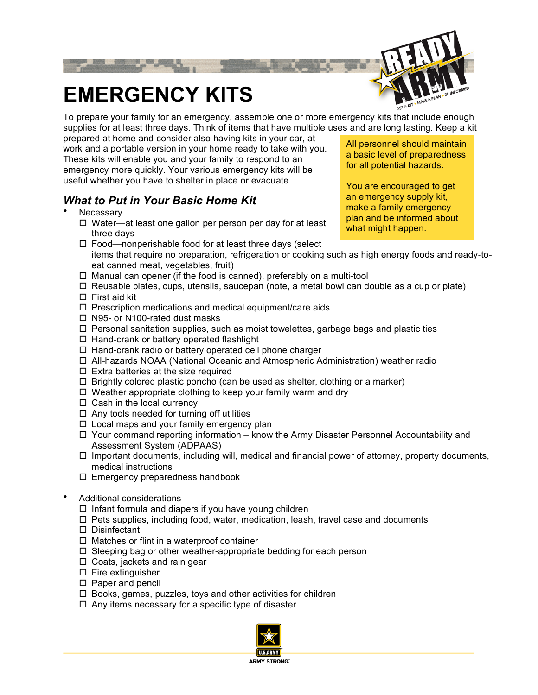

# **EMERGENCY KITS**

To prepare your family for an emergency, assemble one or more emergency kits that include enough supplies for at least three days. Think of items that have multiple uses and are long lasting. Keep a kit

prepared at home and consider also having kits in your car, at work and a portable version in your home ready to take with you. These kits will enable you and your family to respond to an emergency more quickly. Your various emergency kits will be useful whether you have to shelter in place or evacuate.

## *What to Put in Your Basic Home Kit*

- **Necessary** 
	- $\Box$  Water—at least one gallon per person per day for at least three days

 $\Box$  Food—nonperishable food for at least three days (select items that require no preparation, refrigeration or cooking such as high energy foods and ready-toeat canned meat, vegetables, fruit)

- $\Box$  Manual can opener (if the food is canned), preferably on a multi-tool
- $\Box$  Reusable plates, cups, utensils, saucepan (note, a metal bowl can double as a cup or plate)  $\Box$  First aid kit
- 
- $\square$  Prescription medications and medical equipment/care aids
- N95- or N100-rated dust masks
- $\Box$  Personal sanitation supplies, such as moist towelettes, garbage bags and plastic ties
- $\Box$  Hand-crank or battery operated flashlight
- $\Box$  Hand-crank radio or battery operated cell phone charger
- All-hazards NOAA (National Oceanic and Atmospheric Administration) weather radio
- $\square$  Extra batteries at the size required
- $\Box$  Brightly colored plastic poncho (can be used as shelter, clothing or a marker)
- $\Box$  Weather appropriate clothing to keep your family warm and dry
- $\Box$  Cash in the local currency
- $\Box$  Any tools needed for turning off utilities
- $\Box$  Local maps and your family emergency plan
- $\Box$  Your command reporting information know the Army Disaster Personnel Accountability and Assessment System (ADPAAS)
- $\Box$  Important documents, including will, medical and financial power of attorney, property documents, medical instructions
- $\square$  Emergency preparedness handbook
- Additional considerations
	- $\Box$  Infant formula and diapers if you have young children
	- $\Box$  Pets supplies, including food, water, medication, leash, travel case and documents
	- D Disinfectant
	- $\Box$  Matches or flint in a waterproof container
	- $\square$  Sleeping bag or other weather-appropriate bedding for each person
	- $\Box$  Coats, jackets and rain gear
	- $\square$  Fire extinguisher
	- $\square$  Paper and pencil
	- $\square$  Books, games, puzzles, toys and other activities for children
	- $\Box$  Any items necessary for a specific type of disaster



All personnel should maintain a basic level of preparedness for all potential hazards.

You are encouraged to get an emergency supply kit, make a family emergency plan and be informed about what might happen.